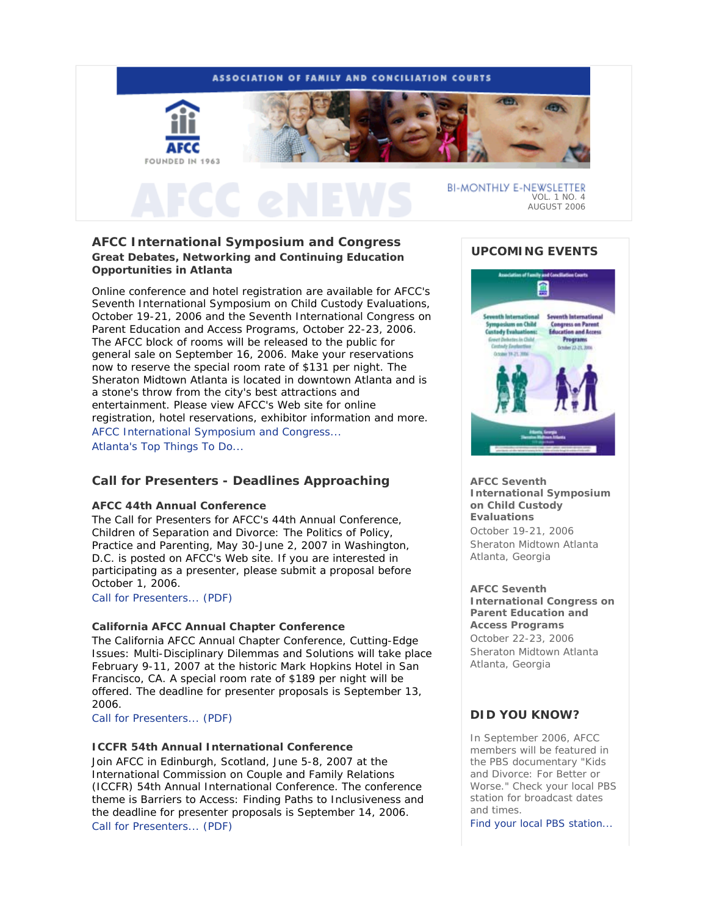

# **AFCC International Symposium and Congress Great Debates, Networking and Continuing Education Opportunities in Atlanta**

Online conference and hotel registration are available for AFCC's *Seventh International Symposium on Child Custody Evaluations*, October 19-21, 2006 and the *Seventh International Congress on Parent Education and Access Programs*, October 22-23, 2006. The AFCC block of rooms will be released to the public for general sale on September 16, 2006. Make your reservations now to reserve the special room rate of \$131 per night. The Sheraton Midtown Atlanta is located in downtown Atlanta and is a stone's throw from the city's best attractions and entertainment. Please view AFCC's Web site for online registration, hotel reservations, exhibitor information and more. AFCC International Symposium and Congress... Atlanta's Top Things To Do...

# **Call for Presenters - Deadlines Approaching**

### **AFCC 44th Annual Conference**

The Call for Presenters for AFCC's 44th Annual Conference, *Children of Separation and Divorce: The Politics of Policy, Practice and Parenting*, May 30-June 2, 2007 in Washington, D.C. is posted on AFCC's Web site. If you are interested in participating as a presenter, please submit a proposal before October 1, 2006.

Call for Presenters... (PDF)

### **California AFCC Annual Chapter Conference**

The California AFCC Annual Chapter Conference, *Cutting-Edge Issues: Multi-Disciplinary Dilemmas and Solutions* will take place February 9-11, 2007 at the historic Mark Hopkins Hotel in San Francisco, CA. A special room rate of \$189 per night will be offered. The deadline for presenter proposals is September 13, 2006.

Call for Presenters... (PDF)

## **ICCFR 54th Annual International Conference**

Join AFCC in Edinburgh, Scotland, June 5-8, 2007 at the International Commission on Couple and Family Relations (ICCFR) 54th Annual International Conference. The conference theme is *Barriers to Access: Finding Paths to Inclusiveness* and the deadline for presenter proposals is September 14, 2006. Call for Presenters... (PDF)

## **UPCOMING EVENTS**



**AFCC Seventh International Symposium on Child Custody Evaluations** *October 19-21, 2006* Sheraton Midtown Atlanta Atlanta, Georgia

# **AFCC Seventh**

**International Congress on Parent Education and Access Programs** *October 22-23, 2006* Sheraton Midtown Atlanta Atlanta, Georgia

# **DID YOU KNOW?**

In September 2006, AFCC members will be featured in the PBS documentary "Kids and Divorce: For Better or Worse." Check your local PBS station for broadcast dates and times.

Find your local PBS station...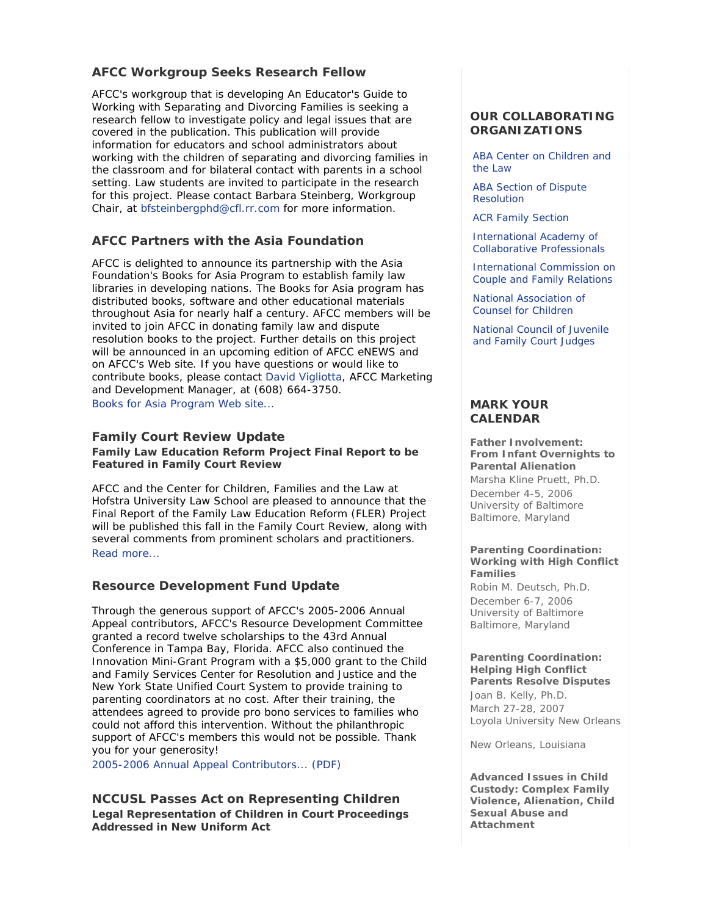# **AFCC Workgroup Seeks Research Fellow**

AFCC's workgroup that is developing An Educator's Guide to Working with Separating and Divorcing Families is seeking a research fellow to investigate policy and legal issues that are covered in the publication. This publication will provide information for educators and school administrators about working with the children of separating and divorcing families in the classroom and for bilateral contact with parents in a school setting. Law students are invited to participate in the research for this project. Please contact Barbara Steinberg, Workgroup Chair, at bfsteinbergphd@cfl.rr.com for more information.

# **AFCC Partners with the Asia Foundation**

AFCC is delighted to announce its partnership with the Asia Foundation's Books for Asia Program to establish family law libraries in developing nations. The Books for Asia program has distributed books, software and other educational materials throughout Asia for nearly half a century. AFCC members will be invited to join AFCC in donating family law and dispute resolution books to the project. Further details on this project will be announced in an upcoming edition of *AFCC eNEWS* and on AFCC's Web site. If you have questions or would like to contribute books, please contact David Vigliotta, AFCC Marketing and Development Manager, at (608) 664-3750. Books for Asia Program Web site...

## **Family Court Review Update**

**Family Law Education Reform Project Final Report to be Featured in Family Court Review**

AFCC and the Center for Children, Families and the Law at Hofstra University Law School are pleased to announce that the Final Report of the Family Law Education Reform (FLER) Project will be published this fall in the *Family Court Review*, along with several comments from prominent scholars and practitioners. Read more...

# **Resource Development Fund Update**

Through the generous support of AFCC's 2005-2006 Annual Appeal contributors, AFCC's Resource Development Committee granted a record twelve scholarships to the 43rd Annual Conference in Tampa Bay, Florida. AFCC also continued the Innovation Mini-Grant Program with a \$5,000 grant to the Child and Family Services Center for Resolution and Justice and the New York State Unified Court System to provide training to parenting coordinators at no cost. After their training, the attendees agreed to provide pro bono services to families who could not afford this intervention. Without the philanthropic support of AFCC's members this would not be possible. Thank you for your generosity!

2005-2006 Annual Appeal Contributors... (PDF)

## **NCCUSL Passes Act on Representing Children Legal Representation of Children in Court Proceedings Addressed in New Uniform Act**

## **OUR COLLABORATING ORGANIZATIONS**

ABA Center on Children and the Law

ABA Section of Dispute Resolution

ACR Family Section

International Academy of Collaborative Professionals

International Commission on Couple and Family Relations

National Association of Counsel for Children

National Council of Juvenile and Family Court Judges

## **MARK YOUR CALENDAR**

**Father Involvement: From Infant Overnights to Parental Alienation** *Marsha Kline Pruett, Ph.D.* December 4-5, 2006 University of Baltimore Baltimore, Maryland

### **Parenting Coordination: Working with High Conflict Families**

*Robin M. Deutsch, Ph.D.* December 6-7, 2006 University of Baltimore Baltimore, Maryland

### **Parenting Coordination: Helping High Conflict Parents Resolve Disputes**

*Joan B. Kelly, Ph.D.* March 27-28, 2007 Loyola University New Orleans

New Orleans, Louisiana

**Advanced Issues in Child Custody: Complex Family Violence, Alienation, Child Sexual Abuse and Attachment**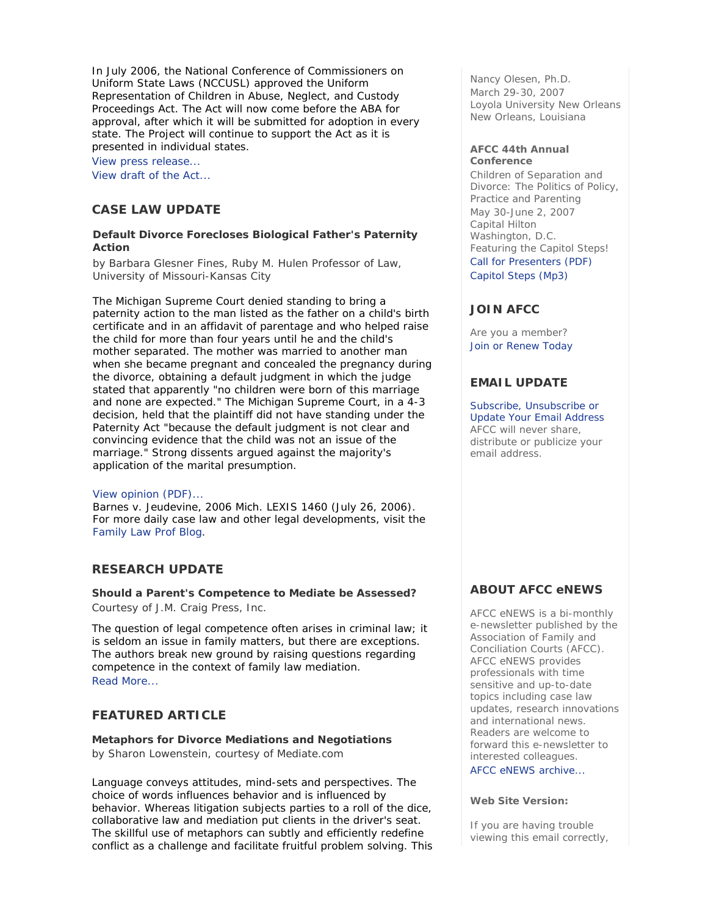In July 2006, the National Conference of Commissioners on Uniform State Laws (NCCUSL) approved the Uniform Representation of Children in Abuse, Neglect, and Custody Proceedings Act. The Act will now come before the ABA for approval, after which it will be submitted for adoption in every state. The Project will continue to support the Act as it is presented in individual states.

View press release...

View draft of the Act...

## **CASE LAW UPDATE**

### **Default Divorce Forecloses Biological Father's Paternity Action**

*by Barbara Glesner Fines, Ruby M. Hulen Professor of Law, University of Missouri-Kansas City*

The Michigan Supreme Court denied standing to bring a paternity action to the man listed as the father on a child's birth certificate and in an affidavit of parentage and who helped raise the child for more than four years until he and the child's mother separated. The mother was married to another man when she became pregnant and concealed the pregnancy during the divorce, obtaining a default judgment in which the judge stated that apparently "no children were born of this marriage and none are expected." The Michigan Supreme Court, in a 4-3 decision, held that the plaintiff did not have standing under the Paternity Act "because the default judgment is not clear and convincing evidence that the child was not an issue of the marriage." Strong dissents argued against the majority's application of the marital presumption.

### View opinion (PDF)...

Barnes v. Jeudevine, 2006 Mich. LEXIS 1460 (July 26, 2006). For more daily case law and other legal developments, visit the Family Law Prof Blog.

## **RESEARCH UPDATE**

**Should a Parent's Competence to Mediate be Assessed?** *Courtesy of J.M. Craig Press, Inc.*

The question of legal competence often arises in criminal law; it is seldom an issue in family matters, but there are exceptions. The authors break new ground by raising questions regarding competence in the context of family law mediation. Read More...

# **FEATURED ARTICLE**

### **Metaphors for Divorce Mediations and Negotiations**

*by Sharon Lowenstein, courtesy of Mediate.com*

Language conveys attitudes, mind-sets and perspectives. The choice of words influences behavior and is influenced by behavior. Whereas litigation subjects parties to a roll of the dice, collaborative law and mediation put clients in the driver's seat. The skillful use of metaphors can subtly and efficiently redefine conflict as a challenge and facilitate fruitful problem solving. This

*Nancy Olesen, Ph.D.* March 29-30, 2007 Loyola University New Orleans New Orleans, Louisiana

#### **AFCC 44th Annual Conference**

*Children of Separation and Divorce: The Politics of Policy, Practice and Parenting* May 30-June 2, 2007 Capital Hilton Washington, D.C. *Featuring the Capitol Steps!* Call for Presenters (PDF) Capitol Steps (Mp3)

# **JOIN AFCC**

Are you a member? Join or Renew Today

# **EMAIL UPDATE**

Subscribe, Unsubscribe or Update Your Email Address AFCC will never share, distribute or publicize your email address.

# **ABOUT AFCC eNEWS**

*AFCC eNEWS* is a bi-monthly e-newsletter published by the Association of Family and Conciliation Courts (AFCC). *AFCC eNEWS* provides professionals with time sensitive and up-to-date topics including case law updates, research innovations and international news. Readers are welcome to forward this e-newsletter to interested colleagues.

*AFCC eNEWS* archive...

### **Web Site Version:**

If you are having trouble viewing this email correctly,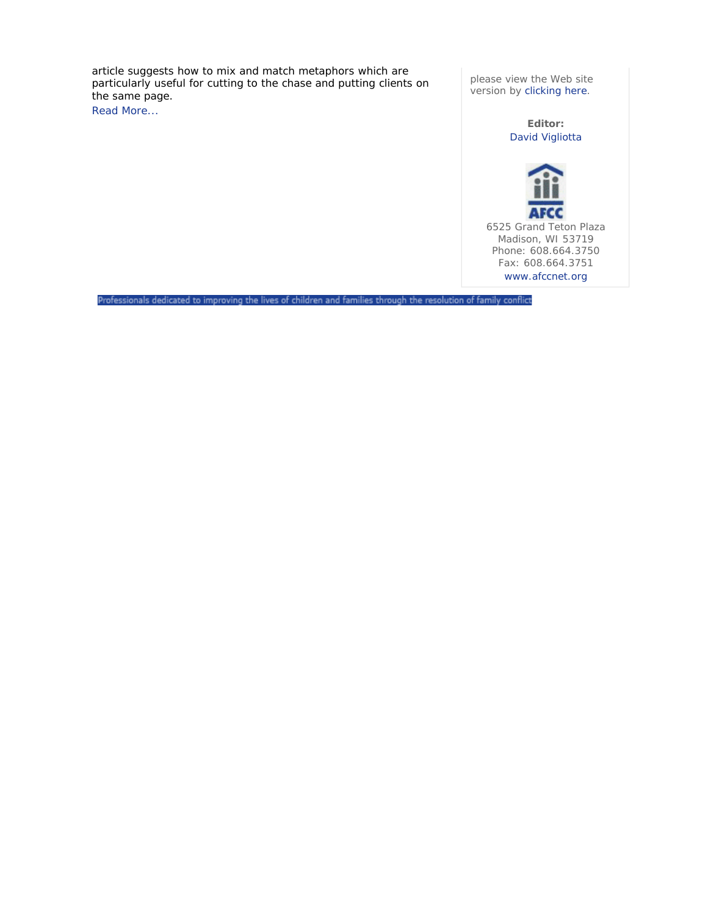article suggests how to mix and match metaphors which are particularly useful for cutting to the chase and putting clients on the same page.

Read More...

please view the Web site version by clicking here.

> **Editor:** David Vigliotta



6525 Grand Teton Plaza Madison, WI 53719 Phone: 608.664.3750 Fax: 608.664.3751 www.afccnet.org

Professionals dedicated to improving the lives of children and families through the resolution of family conflict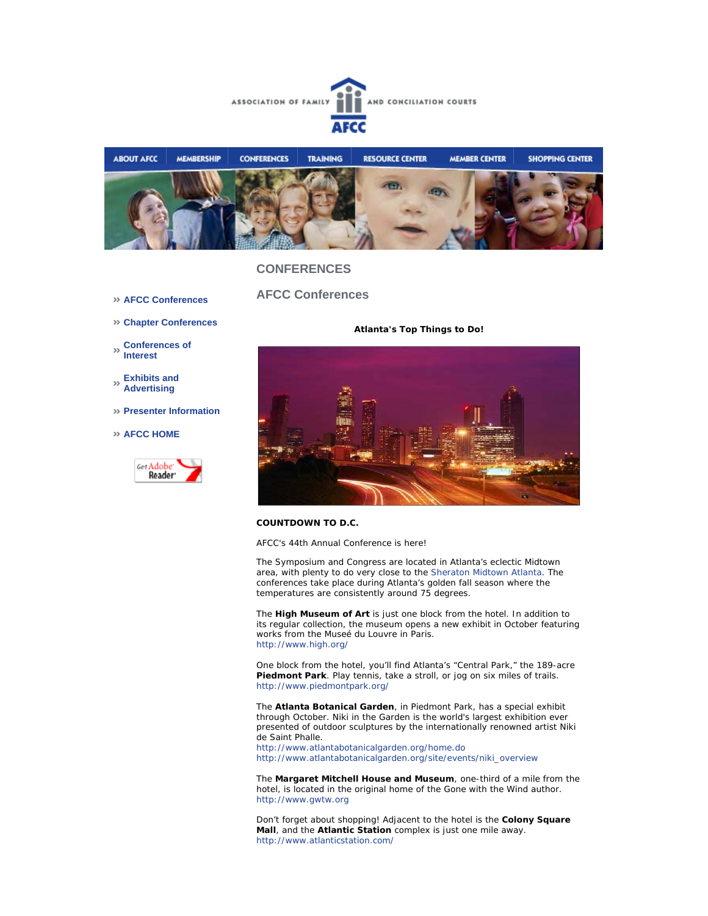



### **CONFERENCES**

- **AFCC Conferences**
- **Chapter Conferences**
- **Conferences of Interest**
- **Exhibits and Advertising**
- **Presenter Information**
- **AFCC HOME**



**AFCC Conferences** 

**Atlanta's Top Things to Do!** 



#### **COUNTDOWN TO D.C.**

AFCC's 44th Annual Conference is here!

The *Symposium* and *Congress* are located in Atlanta's eclectic Midtown area, with plenty to do very close to the Sheraton Midtown Atlanta. The conferences take place during Atlanta's golden fall season where the temperatures are consistently around 75 degrees.

The **High Museum of Art** is just one block from the hotel. In addition to its regular collection, the museum opens a new exhibit in October featuring works from the Museé du Louvre in Paris. http://www.high.org/

One block from the hotel, you'll find Atlanta's "Central Park," the 189-acre **Piedmont Park**. Play tennis, take a stroll, or jog on six miles of trails. http://www.piedmontpark.org/

The **Atlanta Botanical Garden**, in Piedmont Park, has a special exhibit through October. Niki in the Garden is the world's largest exhibition ever presented of outdoor sculptures by the internationally renowned artist Niki de Saint Phalle.

http://www.atlantabotanicalgarden.org/home.do http://www.atlantabotanicalgarden.org/site/events/niki\_overview

The **Margaret Mitchell House and Museum**, one-third of a mile from the hotel, is located in the original home of the Gone with the Wind author. http://www.gwtw.org

Don't forget about shopping! Adjacent to the hotel is the **Colony Square Mall**, and the **Atlantic Station** complex is just one mile away. http://www.atlanticstation.com/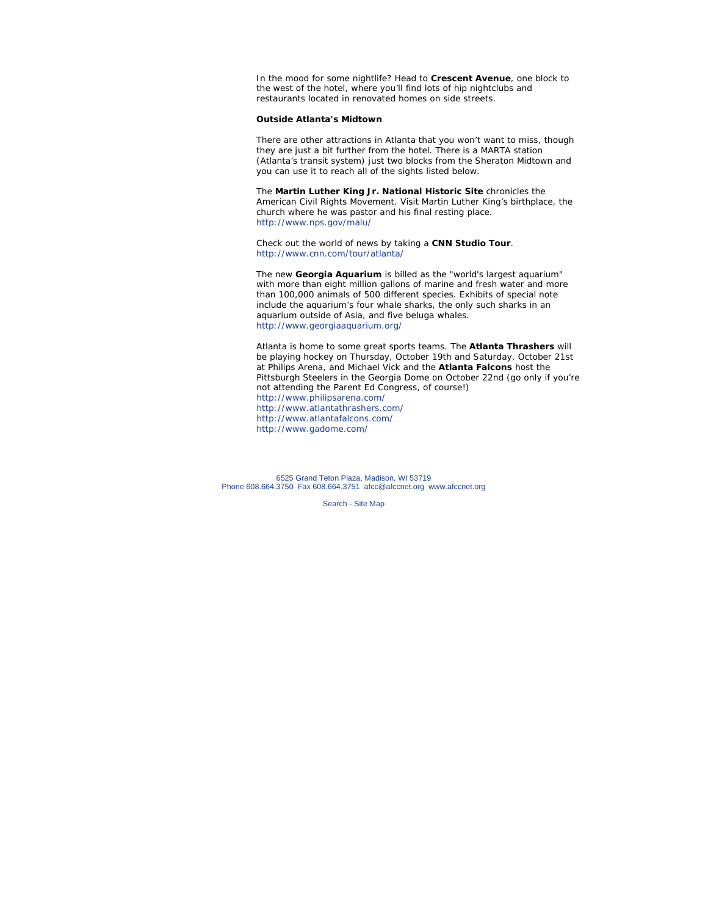In the mood for some nightlife? Head to **Crescent Avenue**, one block to the west of the hotel, where you'll find lots of hip nightclubs and restaurants located in renovated homes on side streets.

#### **Outside Atlanta's Midtown**

There are other attractions in Atlanta that you won't want to miss, though they are just a bit further from the hotel. There is a MARTA station (Atlanta's transit system) just two blocks from the Sheraton Midtown and you can use it to reach all of the sights listed below.

The **Martin Luther King Jr. National Historic Site** chronicles the American Civil Rights Movement. Visit Martin Luther King's birthplace, the church where he was pastor and his final resting place. http://www.nps.gov/malu/

Check out the world of news by taking a **CNN Studio Tour**. http://www.cnn.com/tour/atlanta/

The new **Georgia Aquarium** is billed as the "world's largest aquarium" with more than eight million gallons of marine and fresh water and more than 100,000 animals of 500 different species. Exhibits of special note include the aquarium's four whale sharks, the only such sharks in an aquarium outside of Asia, and five beluga whales. http://www.georgiaaquarium.org/

Atlanta is home to some great sports teams. The **Atlanta Thrashers** will be playing hockey on Thursday, October 19th and Saturday, October 21st at Philips Arena, and Michael Vick and the **Atlanta Falcons** host the Pittsburgh Steelers in the Georgia Dome on October 22nd (go only if you're not attending the Parent Ed Congress, of course!) http://www.philipsarena.com/ http://www.atlantathrashers.com/ http://www.atlantafalcons.com/ http://www.gadome.com/

6525 Grand Teton Plaza, Madison, WI 53719 Phone 608.664.3750 Fax 608.664.3751 afcc@afccnet.org www.afccnet.org

Search - Site Map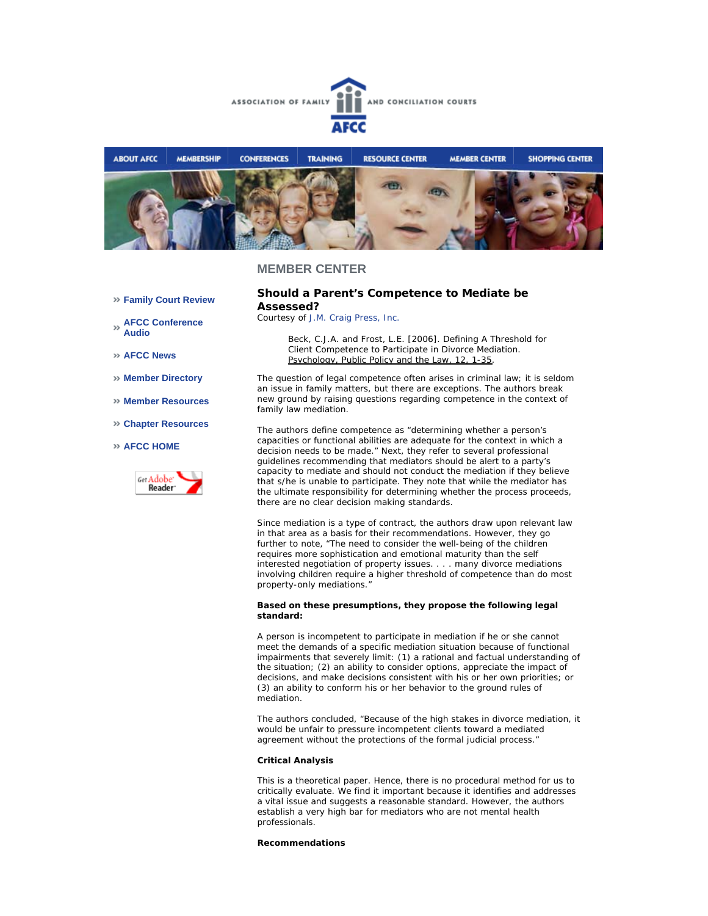



### **MEMBER CENTER**

#### **Family Court Review**

**AFCC Conference Audio** 

**AFCC News** 

- **Member Directory**
- **Member Resources**
- **Chapter Resources**

#### **AFCC HOME**



#### **Should a Parent's Competence to Mediate be Assessed?**

*Courtesy of J.M. Craig Press, Inc.*

Beck, C.J.A. and Frost, L.E. [2006]. Defining A Threshold for Client Competence to Participate in Divorce Mediation. Psychology, Public Policy and the Law, 12, 1-35.

The question of legal competence often arises in criminal law; it is seldom an issue in family matters, but there are exceptions. The authors break new ground by raising questions regarding competence in the context of family law mediation.

The authors define competence as "determining whether a person's capacities or functional abilities are adequate for the context in which a decision needs to be made." Next, they refer to several professional guidelines recommending that mediators should be alert to a party's capacity to mediate and should not conduct the mediation if they believe that s/he is unable to participate. They note that while the mediator has the ultimate responsibility for determining whether the process proceeds, there are no clear decision making standards.

Since mediation is a type of contract, the authors draw upon relevant law in that area as a basis for their recommendations. However, they go further to note, "The need to consider the well-being of the children requires more sophistication and emotional maturity than the self interested negotiation of property issues. . . . many divorce mediations involving children require a higher threshold of competence than do most property-only mediations."

#### **Based on these presumptions, they propose the following legal standard:**

A person is incompetent to participate in mediation if he or she cannot meet the demands of a specific mediation situation because of functional impairments that severely limit: (1) a rational and factual understanding of the situation; (2) an ability to consider options, appreciate the impact of decisions, and make decisions consistent with his or her own priorities; or (3) an ability to conform his or her behavior to the ground rules of mediation.

The authors concluded, "Because of the high stakes in divorce mediation, it would be unfair to pressure incompetent clients toward a mediated agreement without the protections of the formal judicial process."

#### **Critical Analysis**

This is a theoretical paper. Hence, there is no procedural method for us to critically evaluate. We find it important because it identifies and addresses a vital issue and suggests a reasonable standard. However, the authors establish a very high bar for mediators who are not mental health professionals.

#### **Recommendations**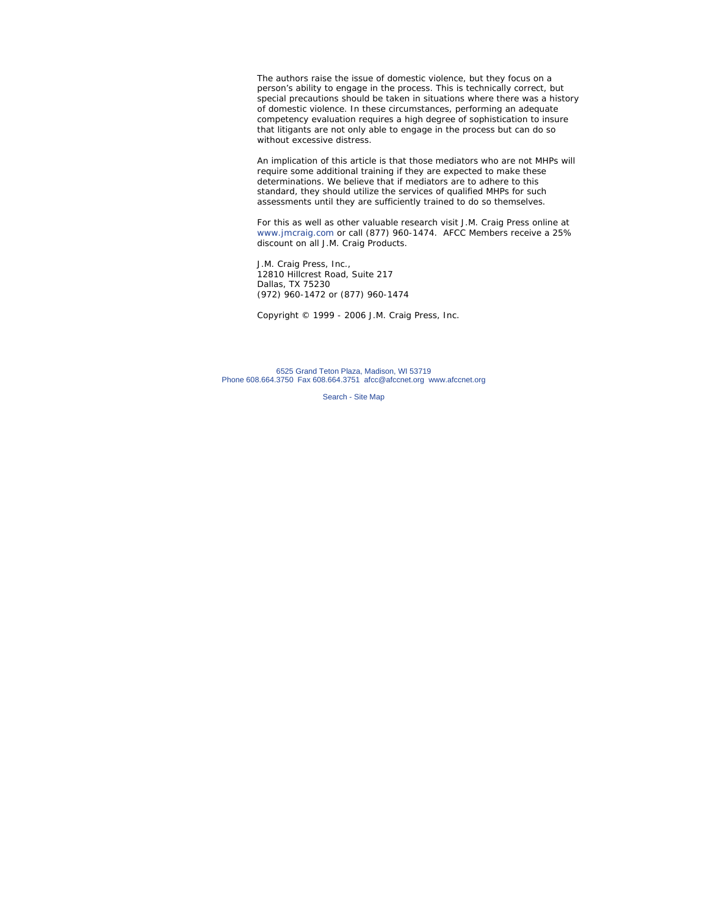The authors raise the issue of domestic violence, but they focus on a person's ability to engage in the process. This is technically correct, but special precautions should be taken in situations where there was a history of domestic violence. In these circumstances, performing an adequate competency evaluation requires a high degree of sophistication to insure that litigants are not only able to engage in the process but can do so without excessive distress.

An implication of this article is that those mediators who are not MHPs will require some additional training if they are expected to make these determinations. We believe that if mediators are to adhere to this standard, they should utilize the services of qualified MHPs for such assessments until they are sufficiently trained to do so themselves.

For this as well as other valuable research visit J.M. Craig Press online at www.jmcraig.com or call (877) 960-1474. AFCC Members receive a 25% discount on all J.M. Craig Products.

J.M. Craig Press, Inc., 12810 Hillcrest Road, Suite 217 Dallas, TX 75230 (972) 960-1472 or (877) 960-1474

*Copyright © 1999 - 2006 J.M. Craig Press, Inc.*

6525 Grand Teton Plaza, Madison, WI 53719 Phone 608.664.3750 Fax 608.664.3751 afcc@afccnet.org www.afccnet.org

Search - Site Map